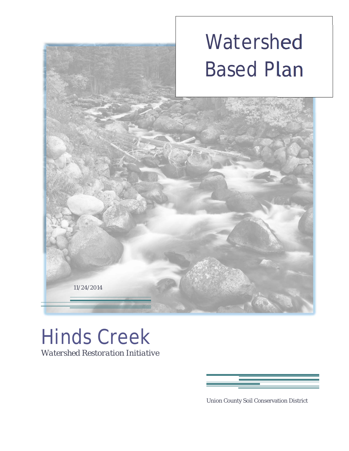# Watershed Based Plan



11/24/2014



Union County Soil Conservation District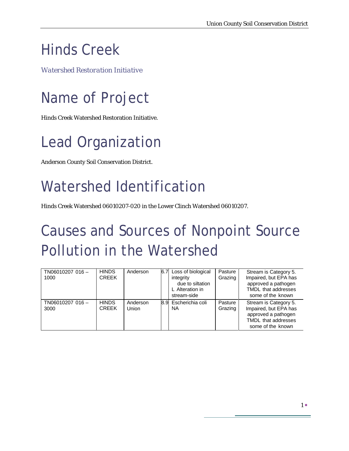#### Hinds Creek

*Watershed Restoration Initiative* 

# Name of Project

Hinds Creek Watershed Restoration Initiative.

## Lead Organization

Anderson County Soil Conservation District.

## Watershed Identification

Hinds Creek Watershed 06010207-020 in the Lower Clinch Watershed 06010207.

## Causes and Sources of Nonpoint Source Pollution in the Watershed

| TN06010207 016-<br>1000 | <b>HINDS</b><br><b>CREEK</b> | Anderson          | 6.7 | Loss of biological<br>integrity<br>due to siltation<br>L Alteration in<br>stream-side | Pasture<br>Grazing | Stream is Category 5.<br>Impaired, but EPA has<br>approved a pathogen<br>TMDL that addresses<br>some of the known |
|-------------------------|------------------------------|-------------------|-----|---------------------------------------------------------------------------------------|--------------------|-------------------------------------------------------------------------------------------------------------------|
| TN06010207 016-<br>3000 | <b>HINDS</b><br><b>CREEK</b> | Anderson<br>Union |     | 8.9 Escherichia coli<br>NA                                                            | Pasture<br>Grazing | Stream is Category 5.<br>Impaired, but EPA has<br>approved a pathogen<br>TMDL that addresses<br>some of the known |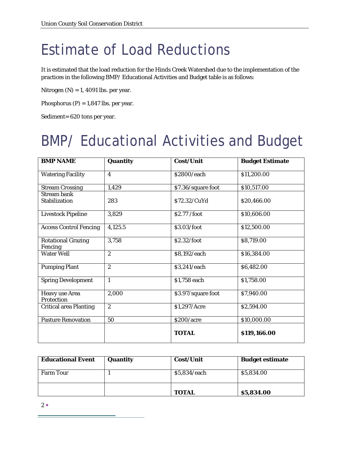#### Estimate of Load Reductions

It is estimated that the load reduction for the Hinds Creek Watershed due to the implementation of the practices in the following BMP/ Educational Activities and Budget table is as follows:

Nitrogen  $(N) = 1$ , 4091 lbs. per year.

Phosphorus  $(P) = 1,847$  lbs. per year.

Sediment= 620 tons per year.

## BMP/ Educational Activities and Budget

| <b>BMP NAME</b>                      | Quantity                | Cost/Unit          | <b>Budget Estimate</b> |
|--------------------------------------|-------------------------|--------------------|------------------------|
| <b>Watering Facility</b>             | $\overline{\mathbf{4}}$ | \$2800/each        | \$11,200.00            |
| <b>Stream Crossing</b>               | 1,429                   | \$7.36/square foot | \$10,517.00            |
| <b>Stream bank</b><br>Stabilization  | 283                     | \$72.32/CuYd       | \$20,466.00            |
| <b>Livestock Pipeline</b>            | 3,829                   | \$2.77 /foot       | \$10,606.00            |
| <b>Access Control Fencing</b>        | 4,125.5                 | \$3.03/foot        | \$12,500.00            |
| <b>Rotational Grazing</b><br>Fencing | 3,758                   | \$2.32/foot        | \$8,719.00             |
| Water Well                           | $\overline{2}$          | \$8,192/each       | \$16,384.00            |
| <b>Pumping Plant</b>                 | $\overline{2}$          | \$3,241/each       | \$6,482.00             |
| <b>Spring Development</b>            | $\mathbf{1}$            | \$1,758 each       | \$1,758.00             |
| <b>Heavy use Area</b><br>Protection  | 2,000                   | \$3.97/square foot | \$7,940.00             |
| <b>Critical area Planting</b>        | $\overline{2}$          | \$1,297/Acre       | \$2,594.00             |
| <b>Pasture Renovation</b>            | 50                      | \$200/acre         | \$10,000.00            |
|                                      |                         | <b>TOTAL</b>       | \$119,166.00           |

| <b>Educational Event</b> | Quantity | Cost/Unit    | <b>Budget estimate</b> |
|--------------------------|----------|--------------|------------------------|
| <b>Farm Tour</b>         |          | \$5,834/each | \$5,834.00             |
|                          |          | <b>TOTAL</b> | \$5,834.00             |

 $2\bullet$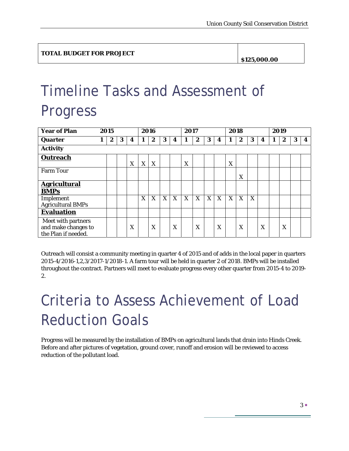**\$125,000.00** 

## Timeline Tasks and Assessment of Progress

| <b>Year of Plan</b>                                              | 2015 |   |   |   | 2016 |   |   | 2017 |   |   |   | 2018 |   |                  |   | 2019 |   |                  |   |                  |
|------------------------------------------------------------------|------|---|---|---|------|---|---|------|---|---|---|------|---|------------------|---|------|---|------------------|---|------------------|
| Quarter                                                          |      | 2 | 3 | 4 |      | 2 | 3 | 4    | 1 | 2 | 3 | 4    | 1 | $\boldsymbol{2}$ | 3 | 4    | 1 | $\boldsymbol{2}$ | 3 | $\boldsymbol{4}$ |
| <b>Activity</b>                                                  |      |   |   |   |      |   |   |      |   |   |   |      |   |                  |   |      |   |                  |   |                  |
| Outreach                                                         |      |   |   | X | X    | X |   |      | X |   |   |      | X |                  |   |      |   |                  |   |                  |
| <b>Farm Tour</b>                                                 |      |   |   |   |      |   |   |      |   |   |   |      |   | X                |   |      |   |                  |   |                  |
| <b>Agricultural</b><br><b>BMPs</b>                               |      |   |   |   |      |   |   |      |   |   |   |      |   |                  |   |      |   |                  |   |                  |
| Implement<br><b>Agricultural BMPs</b>                            |      |   |   |   | X    | X | X | X    | X | X | X | X    | X | X                | X |      |   |                  |   |                  |
| <b>Evaluation</b>                                                |      |   |   |   |      |   |   |      |   |   |   |      |   |                  |   |      |   |                  |   |                  |
| Meet with partners<br>and make changes to<br>the Plan if needed. |      |   |   | X |      | X |   | X    |   | X |   | X    |   | X                |   | X    |   | X                |   |                  |

Outreach will consist a community meeting in quarter 4 of 2015 and of adds in the local paper in quarters 2015-4/2016-1,2,3/2017-1/2018-1. A farm tour will be held in quarter 2 of 2018. BMPs will be installed throughout the contract. Partners will meet to evaluate progress every other quarter from 2015-4 to 2019- 2.

## Criteria to Assess Achievement of Load Reduction Goals

Progress will be measured by the installation of BMPs on agricultural lands that drain into Hinds Creek. Before and after pictures of vegetation, ground cover, runoff and erosion will be reviewed to access reduction of the pollutant load.